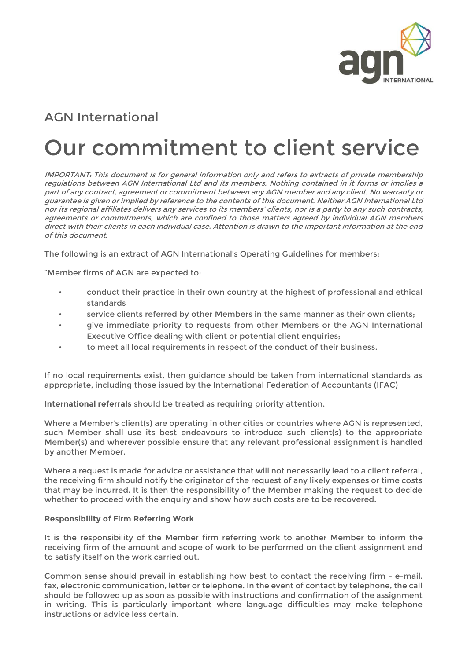

## AGN International

## Our commitment to client service

IMPORTANT: This document is for general information only and refers to extracts of private membership regulations between AGN International Ltd and its members. Nothing contained in it forms or implies a part of any contract, agreement or commitment between any AGN member and any client. No warranty or guarantee is given or implied by reference to the contents of this document. Neither AGN International Ltd nor its regional affiliates delivers any services to its members' clients, nor is a party to any such contracts, agreements or commitments, which are confined to those matters agreed by individual AGN members direct with their clients in each individual case. Attention is drawn to the important information at the end of this document.

The following is an extract of AGN International's Operating Guidelines for members:

"Member firms of AGN are expected to:

- conduct their practice in their own country at the highest of professional and ethical standards
- service clients referred by other Members in the same manner as their own clients;
- give immediate priority to requests from other Members or the AGN International Executive Office dealing with client or potential client enquiries;
- to meet all local requirements in respect of the conduct of their business.

If no local requirements exist, then guidance should be taken from international standards as appropriate, including those issued by the International Federation of Accountants (IFAC)

**International referrals** should be treated as requiring priority attention.

Where a Member's client(s) are operating in other cities or countries where AGN is represented, such Member shall use its best endeavours to introduce such client(s) to the appropriate Member(s) and wherever possible ensure that any relevant professional assignment is handled by another Member.

Where a request is made for advice or assistance that will not necessarily lead to a client referral, the receiving firm should notify the originator of the request of any likely expenses or time costs that may be incurred. It is then the responsibility of the Member making the request to decide whether to proceed with the enquiry and show how such costs are to be recovered.

## **Responsibility of Firm Referring Work**

It is the responsibility of the Member firm referring work to another Member to inform the receiving firm of the amount and scope of work to be performed on the client assignment and to satisfy itself on the work carried out.

Common sense should prevail in establishing how best to contact the receiving firm - e-mail, fax, electronic communication, letter or telephone. In the event of contact by telephone, the call should be followed up as soon as possible with instructions and confirmation of the assignment in writing. This is particularly important where language difficulties may make telephone instructions or advice less certain.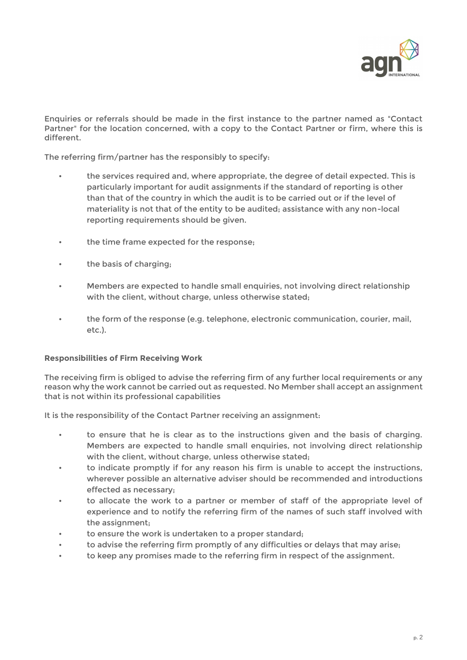

Enquiries or referrals should be made in the first instance to the partner named as "Contact Partner" for the location concerned, with a copy to the Contact Partner or firm, where this is different.

The referring firm/partner has the responsibly to specify:

- the services required and, where appropriate, the degree of detail expected. This is particularly important for audit assignments if the standard of reporting is other than that of the country in which the audit is to be carried out or if the level of materiality is not that of the entity to be audited; assistance with any non-local reporting requirements should be given.
- the time frame expected for the response;
- the basis of charging;
- Members are expected to handle small enquiries, not involving direct relationship with the client, without charge, unless otherwise stated;
- the form of the response (e.g. telephone, electronic communication, courier, mail, etc.).

## **Responsibilities of Firm Receiving Work**

The receiving firm is obliged to advise the referring firm of any further local requirements or any reason why the work cannot be carried out as requested. No Member shall accept an assignment that is not within its professional capabilities

It is the responsibility of the Contact Partner receiving an assignment:

- to ensure that he is clear as to the instructions given and the basis of charging. Members are expected to handle small enquiries, not involving direct relationship with the client, without charge, unless otherwise stated;
- to indicate promptly if for any reason his firm is unable to accept the instructions, wherever possible an alternative adviser should be recommended and introductions effected as necessary;
- to allocate the work to a partner or member of staff of the appropriate level of experience and to notify the referring firm of the names of such staff involved with the assignment;
- to ensure the work is undertaken to a proper standard;
- to advise the referring firm promptly of any difficulties or delays that may arise;
- to keep any promises made to the referring firm in respect of the assignment.